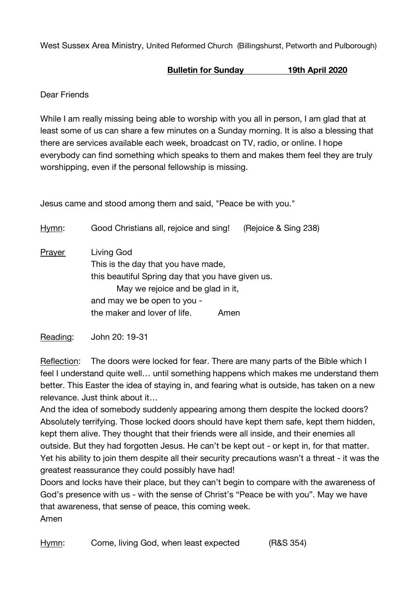West Sussex Area Ministry, United Reformed Church (Billingshurst, Petworth and Pulborough)

## **Bulletin for Sunday 19th April 2020**

Dear Friends

While I am really missing being able to worship with you all in person, I am glad that at least some of us can share a few minutes on a Sunday morning. It is also a blessing that there are services available each week, broadcast on TV, radio, or online. I hope everybody can find something which speaks to them and makes them feel they are truly worshipping, even if the personal fellowship is missing.

Jesus came and stood among them and said, "Peace be with you."

| Hymn:  | Good Christians all, rejoice and sing!            | (Rejoice & Sing 238) |
|--------|---------------------------------------------------|----------------------|
| Prayer | Living God                                        |                      |
|        | This is the day that you have made,               |                      |
|        | this beautiful Spring day that you have given us. |                      |
|        | May we rejoice and be glad in it,                 |                      |
|        | and may we be open to you -                       |                      |
|        | the maker and lover of life.                      | Amen                 |
|        |                                                   |                      |

Reading: John 20: 19-31

Reflection: The doors were locked for fear. There are many parts of the Bible which I feel I understand quite well… until something happens which makes me understand them better. This Easter the idea of staying in, and fearing what is outside, has taken on a new relevance. Just think about it…

And the idea of somebody suddenly appearing among them despite the locked doors? Absolutely terrifying. Those locked doors should have kept them safe, kept them hidden, kept them alive. They thought that their friends were all inside, and their enemies all outside. But they had forgotten Jesus. He can't be kept out - or kept in, for that matter. Yet his ability to join them despite all their security precautions wasn't a threat - it was the greatest reassurance they could possibly have had!

Doors and locks have their place, but they can't begin to compare with the awareness of God's presence with us - with the sense of Christ's "Peace be with you". May we have that awareness, that sense of peace, this coming week. Amen